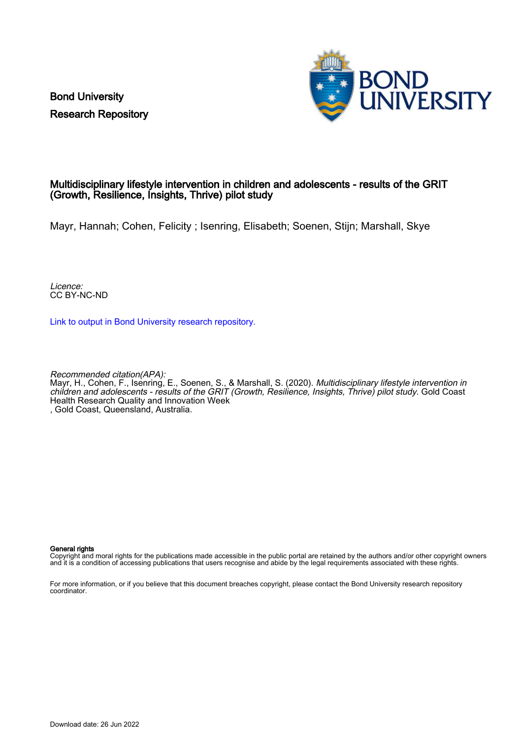Bond University Research Repository



### Multidisciplinary lifestyle intervention in children and adolescents - results of the GRIT (Growth, Resilience, Insights, Thrive) pilot study

Mayr, Hannah; Cohen, Felicity ; Isenring, Elisabeth; Soenen, Stijn; Marshall, Skye

Licence: CC BY-NC-ND

[Link to output in Bond University research repository.](https://research.bond.edu.au/en/publications/5b8ead7f-d79f-4b7f-b00a-91f95dcb3d5f)

Recommended citation(APA): Mayr, H., Cohen, F., Isenring, E., Soenen, S., & Marshall, S. (2020). *Multidisciplinary lifestyle intervention in* children and adolescents - results of the GRIT (Growth, Resilience, Insights, Thrive) pilot study. Gold Coast Health Research Quality and Innovation Week , Gold Coast, Queensland, Australia.

#### General rights

Copyright and moral rights for the publications made accessible in the public portal are retained by the authors and/or other copyright owners and it is a condition of accessing publications that users recognise and abide by the legal requirements associated with these rights.

For more information, or if you believe that this document breaches copyright, please contact the Bond University research repository coordinator.